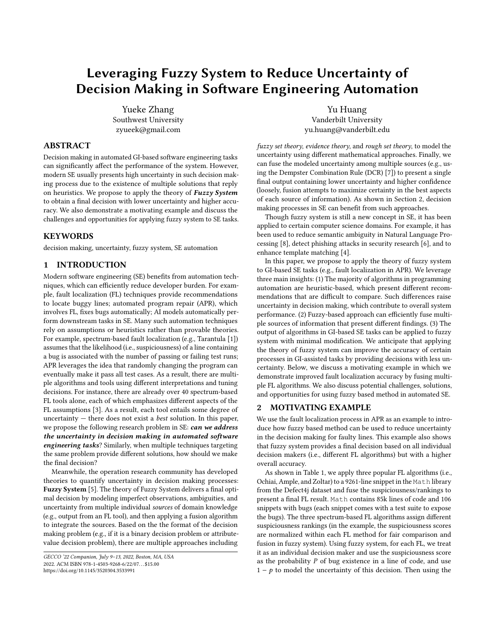# Leveraging Fuzzy System to Reduce Uncertainty of Decision Making in Software Engineering Automation

Yueke Zhang Southwest University zyueek@gmail.com

Yu Huang Vanderbilt University yu.huang@vanderbilt.edu

# ABSTRACT

Decision making in automated GI-based software engineering tasks can significantly affect the performance of the system. However, modern SE usually presents high uncertainty in such decision making process due to the existence of multiple solutions that reply on heuristics. We propose to apply the theory of **Fuzzy System** to obtain a final decision with lower uncertainty and higher accuracy. We also demonstrate a motivating example and discuss the challenges and opportunities for applying fuzzy system to SE tasks.

## KEYWORDS

decision making, uncertainty, fuzzy system, SE automation

## 1 INTRODUCTION

Modern software engineering (SE) benefits from automation techniques, which can efficiently reduce developer burden. For example, fault localization (FL) techniques provide recommendations to locate buggy lines; automated program repair (APR), which involves FL, fixes bugs automatically; AI models automatically perform downstream tasks in SE. Many such automation techniques rely on assumptions or heuristics rather than provable theories. For example, spectrum-based fault localization (e.g., Tarantula [\[1\]](#page-1-0)) assumes that the likelihood (i.e., suspiciousness) of a line containing a bug is associated with the number of passing or failing test runs; APR leverages the idea that randomly changing the program can eventually make it pass all test cases. As a result, there are multiple algorithms and tools using different interpretations and tuning decisions. For instance, there are already over 40 spectrum-based FL tools alone, each of which emphasizes different aspects of the FL assumptions [\[3\]](#page-1-1). As a result, each tool entails some degree of uncertainty  $-$  there does not exist a *best* solution. In this paper, we propose the following research problem in SE: can we address the uncertainty in decision making in automated software engineering tasks? Similarly, when multiple techniques targeting the same problem provide different solutions, how should we make the final decision?

Meanwhile, the operation research community has developed theories to quantify uncertainty in decision making processes: Fuzzy System [\[5\]](#page-1-2). The theory of Fuzzy System delivers a final optimal decision by modeling imperfect observations, ambiguities, and uncertainty from multiple individual sources of domain knowledge (e.g., output from an FL tool), and then applying a fusion algorithm to integrate the sources. Based on the the format of the decision making problem (e.g., if it is a binary decision problem or attributevalue decision problem), there are multiple approaches including

fuzzy set theory, evidence theory, and rough set theory, to model the uncertainty using different mathematical approaches. Finally, we can fuse the modeled uncertainty among multiple sources (e.g., using the Dempster Combination Rule (DCR) [\[7\]](#page-1-3)) to present a single final output containing lower uncertainty and higher confidence (loosely, fusion attempts to maximize certainty in the best aspects of each source of information). As shown in Section [2,](#page-0-0) decision making processes in SE can benefit from such approaches.

Though fuzzy system is still a new concept in SE, it has been applied to certain computer science domains. For example, it has been used to reduce semantic ambiguity in Natural Language Processing [\[8\]](#page-1-4), detect phishing attacks in security research [\[6\]](#page-1-5), and to enhance template matching [\[4\]](#page-1-6).

In this paper, we propose to apply the theory of fuzzy system to GI-based SE tasks (e.g., fault localization in APR). We leverage three main insights: (1) The majority of algorithms in programming automation are heuristic-based, which present different recommendations that are difficult to compare. Such differences raise uncertainty in decision making, which contribute to overall system performance. (2) Fuzzy-based approach can efficiently fuse multiple sources of information that present different findings. (3) The output of algorithms in GI-based SE tasks can be applied to fuzzy system with minimal modification. We anticipate that applying the theory of fuzzy system can improve the accuracy of certain processes in GI-assisted tasks by providing decisions with less uncertainty. Below, we discuss a motivating example in which we demonstrate improved fault localization accuracy by fusing multiple FL algorithms. We also discuss potential challenges, solutions, and opportunities for using fuzzy based method in automated SE.

## <span id="page-0-0"></span>2 MOTIVATING EXAMPLE

We use the fault localization process in APR as an example to introduce how fuzzy based method can be used to reduce uncertainty in the decision making for faulty lines. This example also shows that fuzzy system provides a final decision based on all individual decision makers (i.e., different FL algorithms) but with a higher overall accuracy.

As shown in Table [1,](#page-1-7) we apply three popular FL algorithms (i.e., Ochiai, Ample, and Zoltar) to a 9261-line snippet in the Math library from the Defect4j dataset and fuse the suspiciousness/rankings to present a final FL result. Math contains 85k lines of code and 106 snippets with bugs (each snippet comes with a test suite to expose the bugs). The three spectrum-based FL algorithms assign different suspiciousness rankings (in the example, the suspiciousness scores are normalized within each FL method for fair comparison and fusion in fuzzy system). Using fuzzy system, for each FL, we treat it as an individual decision maker and use the suspiciousness score as the probability  $P$  of bug existence in a line of code, and use  $1 - p$  to model the uncertainty of this decision. Then using the

GECCO '22 Companion, July 9–13, 2022, Boston, MA, USA 2022. ACM ISBN 978-1-4503-9268-6/22/07. . . \$15.00 <https://doi.org/10.1145/3520304.3533991>